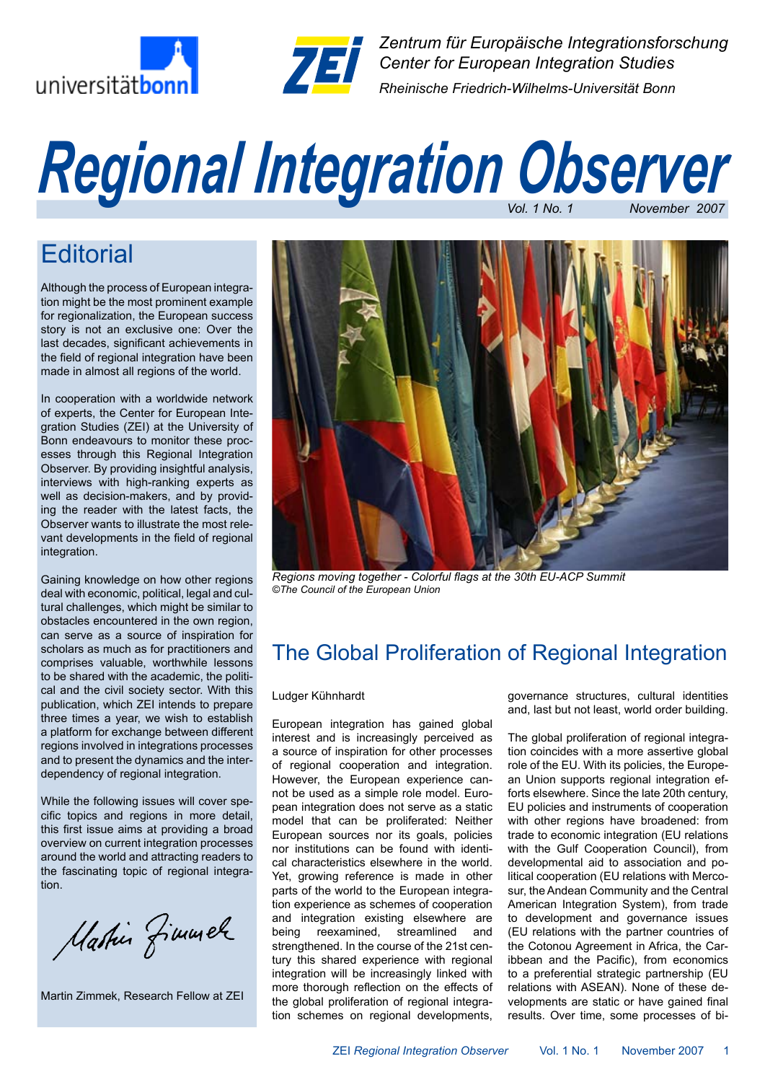



*Zentrum für Europäische Integrationsforschung Center for European Integration Studies Rheinische Friedrich-Wilhelms-Universität Bonn*

# *Vol. 1 No. 1 November 2007 Regional Integration Observer*

# **Editorial**

Although the process of European integration might be the most prominent example for regionalization, the European success story is not an exclusive one: Over the last decades, significant achievements in the field of regional integration have been made in almost all regions of the world.

In cooperation with a worldwide network of experts, the Center for European Integration Studies (ZEI) at the University of Bonn endeavours to monitor these processes through this Regional Integration Observer. By providing insightful analysis, interviews with high-ranking experts as well as decision-makers, and by providing the reader with the latest facts, the Observer wants to illustrate the most relevant developments in the field of regional integration.

Gaining knowledge on how other regions deal with economic, political, legal and cultural challenges, which might be similar to obstacles encountered in the own region, can serve as a source of inspiration for scholars as much as for practitioners and comprises valuable, worthwhile lessons to be shared with the academic, the political and the civil society sector. With this publication, which ZEI intends to prepare three times a year, we wish to establish a platform for exchange between different regions involved in integrations processes and to present the dynamics and the interdependency of regional integration.

While the following issues will cover specific topics and regions in more detail, this first issue aims at providing a broad overview on current integration processes around the world and attracting readers to the fascinating topic of regional integration.

Mastin fimmele

Martin Zimmek, Research Fellow at ZEI



*Regions moving together - Colorful flags at the 30th EU-ACP Summit ©The Council of the European Union*

# The Global Proliferation of Regional Integration

#### Ludger Kühnhardt

European integration has gained global interest and is increasingly perceived as a source of inspiration for other processes of regional cooperation and integration. However, the European experience cannot be used as a simple role model. European integration does not serve as a static model that can be proliferated: Neither European sources nor its goals, policies nor institutions can be found with identical characteristics elsewhere in the world. Yet, growing reference is made in other parts of the world to the European integration experience as schemes of cooperation and integration existing elsewhere are<br>being reexamined, streamlined and reexamined, streamlined and strengthened. In the course of the 21st century this shared experience with regional integration will be increasingly linked with more thorough reflection on the effects of the global proliferation of regional integration schemes on regional developments, governance structures, cultural identities and, last but not least, world order building.

The global proliferation of regional integration coincides with a more assertive global role of the EU. With its policies, the European Union supports regional integration efforts elsewhere. Since the late 20th century, EU policies and instruments of cooperation with other regions have broadened: from trade to economic integration (EU relations with the Gulf Cooperation Council), from developmental aid to association and political cooperation (EU relations with Mercosur, the Andean Community and the Central American Integration System), from trade to development and governance issues (EU relations with the partner countries of the Cotonou Agreement in Africa, the Caribbean and the Pacific), from economics to a preferential strategic partnership (EU relations with ASEAN). None of these developments are static or have gained final results. Over time, some processes of bi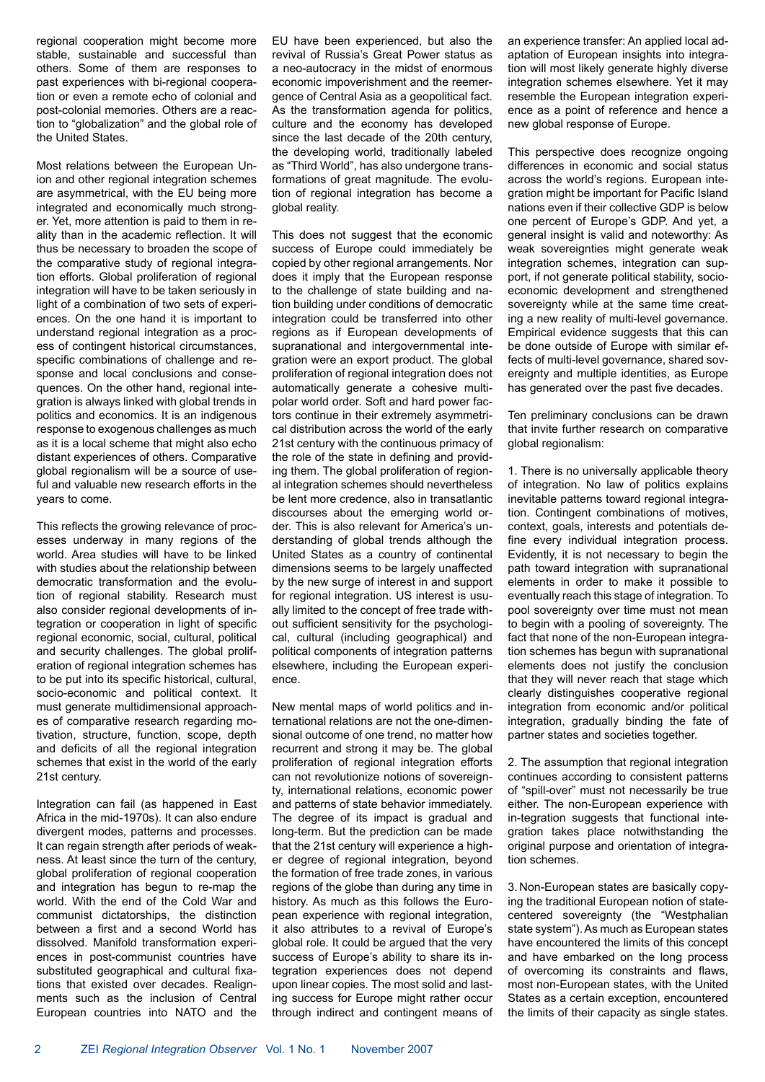regional cooperation might become more stable, sustainable and successful than others. Some of them are responses to past experiences with bi-regional cooperation or even a remote echo of colonial and post-colonial memories. Others are a reaction to "globalization" and the global role of the United States.

Most relations between the European Union and other regional integration schemes are asymmetrical, with the EU being more integrated and economically much stronger. Yet, more attention is paid to them in reality than in the academic reflection. It will thus be necessary to broaden the scope of the comparative study of regional integration efforts. Global proliferation of regional integration will have to be taken seriously in light of a combination of two sets of experiences. On the one hand it is important to understand regional integration as a process of contingent historical circumstances, specific combinations of challenge and response and local conclusions and consequences. On the other hand, regional integration is always linked with global trends in politics and economics. It is an indigenous response to exogenous challenges as much as it is a local scheme that might also echo distant experiences of others. Comparative global regionalism will be a source of useful and valuable new research efforts in the years to come.

This reflects the growing relevance of processes underway in many regions of the world. Area studies will have to be linked with studies about the relationship between democratic transformation and the evolution of regional stability. Research must also consider regional developments of integration or cooperation in light of specific regional economic, social, cultural, political and security challenges. The global proliferation of regional integration schemes has to be put into its specific historical, cultural, socio-economic and political context. It must generate multidimensional approaches of comparative research regarding motivation, structure, function, scope, depth and deficits of all the regional integration schemes that exist in the world of the early 21st century.

Integration can fail (as happened in East Africa in the mid-1970s). It can also endure divergent modes, patterns and processes. It can regain strength after periods of weakness. At least since the turn of the century, global proliferation of regional cooperation and integration has begun to re-map the world. With the end of the Cold War and communist dictatorships, the distinction between a first and a second World has dissolved. Manifold transformation experiences in post-communist countries have substituted geographical and cultural fixations that existed over decades. Realignments such as the inclusion of Central European countries into NATO and the

EU have been experienced, but also the revival of Russia's Great Power status as a neo-autocracy in the midst of enormous economic impoverishment and the reemergence of Central Asia as a geopolitical fact. As the transformation agenda for politics, culture and the economy has developed since the last decade of the 20th century, the developing world, traditionally labeled as "Third World", has also undergone transformations of great magnitude. The evolution of regional integration has become a global reality.

This does not suggest that the economic success of Europe could immediately be copied by other regional arrangements. Nor does it imply that the European response to the challenge of state building and nation building under conditions of democratic integration could be transferred into other regions as if European developments of supranational and intergovernmental integration were an export product. The global proliferation of regional integration does not automatically generate a cohesive multipolar world order. Soft and hard power factors continue in their extremely asymmetrical distribution across the world of the early 21st century with the continuous primacy of the role of the state in defining and providing them. The global proliferation of regional integration schemes should nevertheless be lent more credence, also in transatlantic discourses about the emerging world order. This is also relevant for America's understanding of global trends although the United States as a country of continental dimensions seems to be largely unaffected by the new surge of interest in and support for regional integration. US interest is usually limited to the concept of free trade without sufficient sensitivity for the psychological, cultural (including geographical) and political components of integration patterns elsewhere, including the European experience.

New mental maps of world politics and international relations are not the one-dimensional outcome of one trend, no matter how recurrent and strong it may be. The global proliferation of regional integration efforts can not revolutionize notions of sovereignty, international relations, economic power and patterns of state behavior immediately. The degree of its impact is gradual and long-term. But the prediction can be made that the 21st century will experience a higher degree of regional integration, beyond the formation of free trade zones, in various regions of the globe than during any time in history. As much as this follows the European experience with regional integration, it also attributes to a revival of Europe's global role. It could be argued that the very success of Europe's ability to share its integration experiences does not depend upon linear copies. The most solid and lasting success for Europe might rather occur through indirect and contingent means of an experience transfer: An applied local adaptation of European insights into integration will most likely generate highly diverse integration schemes elsewhere. Yet it may resemble the European integration experience as a point of reference and hence a new global response of Europe.

This perspective does recognize ongoing differences in economic and social status across the world's regions. European integration might be important for Pacific Island nations even if their collective GDP is below one percent of Europe's GDP. And yet, a general insight is valid and noteworthy: As weak sovereignties might generate weak integration schemes, integration can support, if not generate political stability, socioeconomic development and strengthened sovereignty while at the same time creating a new reality of multi-level governance. Empirical evidence suggests that this can be done outside of Europe with similar effects of multi-level governance, shared sovereignty and multiple identities, as Europe has generated over the past five decades.

Ten preliminary conclusions can be drawn that invite further research on comparative global regionalism:

1. There is no universally applicable theory of integration. No law of politics explains inevitable patterns toward regional integration. Contingent combinations of motives, context, goals, interests and potentials define every individual integration process. Evidently, it is not necessary to begin the path toward integration with supranational elements in order to make it possible to eventually reach this stage of integration. To pool sovereignty over time must not mean to begin with a pooling of sovereignty. The fact that none of the non-European integration schemes has begun with supranational elements does not justify the conclusion that they will never reach that stage which clearly distinguishes cooperative regional integration from economic and/or political integration, gradually binding the fate of partner states and societies together.

2. The assumption that regional integration continues according to consistent patterns of "spill-over" must not necessarily be true either. The non-European experience with in-tegration suggests that functional integration takes place notwithstanding the original purpose and orientation of integration schemes.

3. Non-European states are basically copying the traditional European notion of statecentered sovereignty (the "Westphalian state system"). As much as European states have encountered the limits of this concept and have embarked on the long process of overcoming its constraints and flaws, most non-European states, with the United States as a certain exception, encountered the limits of their capacity as single states.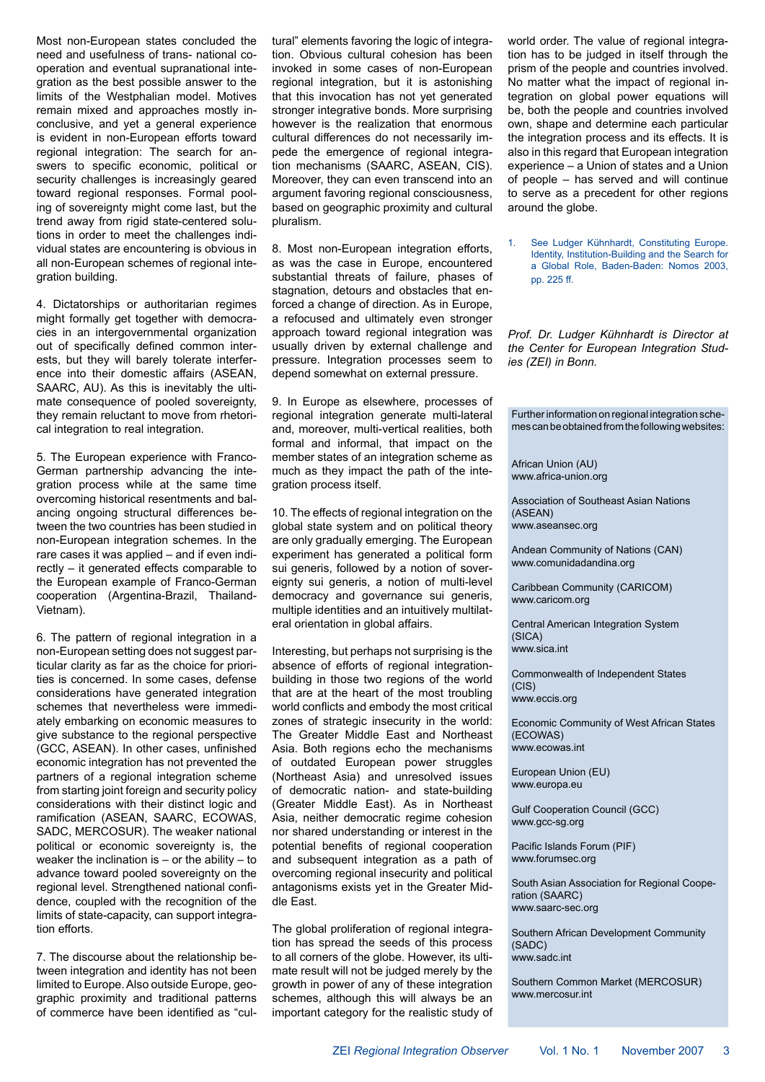Most non-European states concluded the need and usefulness of trans- national cooperation and eventual supranational integration as the best possible answer to the limits of the Westphalian model. Motives remain mixed and approaches mostly inconclusive, and yet a general experience is evident in non-European efforts toward regional integration: The search for answers to specific economic, political or security challenges is increasingly geared toward regional responses. Formal pooling of sovereignty might come last, but the trend away from rigid state-centered solutions in order to meet the challenges individual states are encountering is obvious in all non-European schemes of regional integration building.

4. Dictatorships or authoritarian regimes might formally get together with democracies in an intergovernmental organization out of specifically defined common interests, but they will barely tolerate interference into their domestic affairs (ASEAN, SAARC, AU). As this is inevitably the ultimate consequence of pooled sovereignty, they remain reluctant to move from rhetorical integration to real integration.

5. The European experience with Franco-German partnership advancing the integration process while at the same time overcoming historical resentments and balancing ongoing structural differences between the two countries has been studied in non-European integration schemes. In the rare cases it was applied – and if even indirectly – it generated effects comparable to the European example of Franco-German cooperation (Argentina-Brazil, Thailand-Vietnam).

6. The pattern of regional integration in a non-European setting does not suggest particular clarity as far as the choice for priorities is concerned. In some cases, defense considerations have generated integration schemes that nevertheless were immediately embarking on economic measures to give substance to the regional perspective (GCC, ASEAN). In other cases, unfinished economic integration has not prevented the partners of a regional integration scheme from starting joint foreign and security policy considerations with their distinct logic and ramification (ASEAN, SAARC, ECOWAS, SADC, MERCOSUR). The weaker national political or economic sovereignty is, the weaker the inclination is  $-$  or the ability  $-$  to advance toward pooled sovereignty on the regional level. Strengthened national confidence, coupled with the recognition of the limits of state-capacity, can support integration efforts.

7. The discourse about the relationship between integration and identity has not been limited to Europe. Also outside Europe, geographic proximity and traditional patterns of commerce have been identified as "cultural" elements favoring the logic of integration. Obvious cultural cohesion has been invoked in some cases of non-European regional integration, but it is astonishing that this invocation has not yet generated stronger integrative bonds. More surprising however is the realization that enormous cultural differences do not necessarily impede the emergence of regional integration mechanisms (SAARC, ASEAN, CIS). Moreover, they can even transcend into an argument favoring regional consciousness, based on geographic proximity and cultural pluralism.

8. Most non-European integration efforts, as was the case in Europe, encountered substantial threats of failure, phases of stagnation, detours and obstacles that enforced a change of direction. As in Europe, a refocused and ultimately even stronger approach toward regional integration was usually driven by external challenge and pressure. Integration processes seem to depend somewhat on external pressure.

9. In Europe as elsewhere, processes of regional integration generate multi-lateral and, moreover, multi-vertical realities, both formal and informal, that impact on the member states of an integration scheme as much as they impact the path of the integration process itself.

10. The effects of regional integration on the global state system and on political theory are only gradually emerging. The European experiment has generated a political form sui generis, followed by a notion of sovereignty sui generis, a notion of multi-level democracy and governance sui generis, multiple identities and an intuitively multilateral orientation in global affairs.

Interesting, but perhaps not surprising is the absence of efforts of regional integrationbuilding in those two regions of the world that are at the heart of the most troubling world conflicts and embody the most critical zones of strategic insecurity in the world: The Greater Middle East and Northeast Asia. Both regions echo the mechanisms of outdated European power struggles (Northeast Asia) and unresolved issues of democratic nation- and state-building (Greater Middle East). As in Northeast Asia, neither democratic regime cohesion nor shared understanding or interest in the potential benefits of regional cooperation and subsequent integration as a path of overcoming regional insecurity and political antagonisms exists yet in the Greater Middle East.

The global proliferation of regional integration has spread the seeds of this process to all corners of the globe. However, its ultimate result will not be judged merely by the growth in power of any of these integration schemes, although this will always be an important category for the realistic study of world order. The value of regional integration has to be judged in itself through the prism of the people and countries involved. No matter what the impact of regional integration on global power equations will be, both the people and countries involved own, shape and determine each particular the integration process and its effects. It is also in this regard that European integration experience – a Union of states and a Union of people – has served and will continue to serve as a precedent for other regions around the globe.

1. See Ludger Kühnhardt, Constituting Europe. Identity, Institution-Building and the Search for a Global Role, Baden-Baden: Nomos 2003, pp. 225 ff.

*Prof. Dr. Ludger Kühnhardt is Director at the Center for European Integration Studies (ZEI) in Bonn.*

Further information on regional integration schemes can be obtained from the following websites:

African Union (AU) www.africa-union.org

Association of Southeast Asian Nations (ASEAN) www.aseansec.org

Andean Community of Nations (CAN) www.comunidadandina.org

Caribbean Community (CARICOM) www.caricom.org

Central American Integration System (SICA) www.sica.int

Commonwealth of Independent States  $(CIS)$ www.eccis.org

Economic Community of West African States (ECOWAS) www.ecowas.int

European Union (EU) www.europa.eu

Gulf Cooperation Council (GCC) www.gcc-sg.org

Pacific Islands Forum (PIF) www.forumsec.org

South Asian Association for Regional Cooperation (SAARC) www.saarc-sec.org

Southern African Development Community (SADC) www.sadc.int

Southern Common Market (MERCOSUR) www.mercosur.int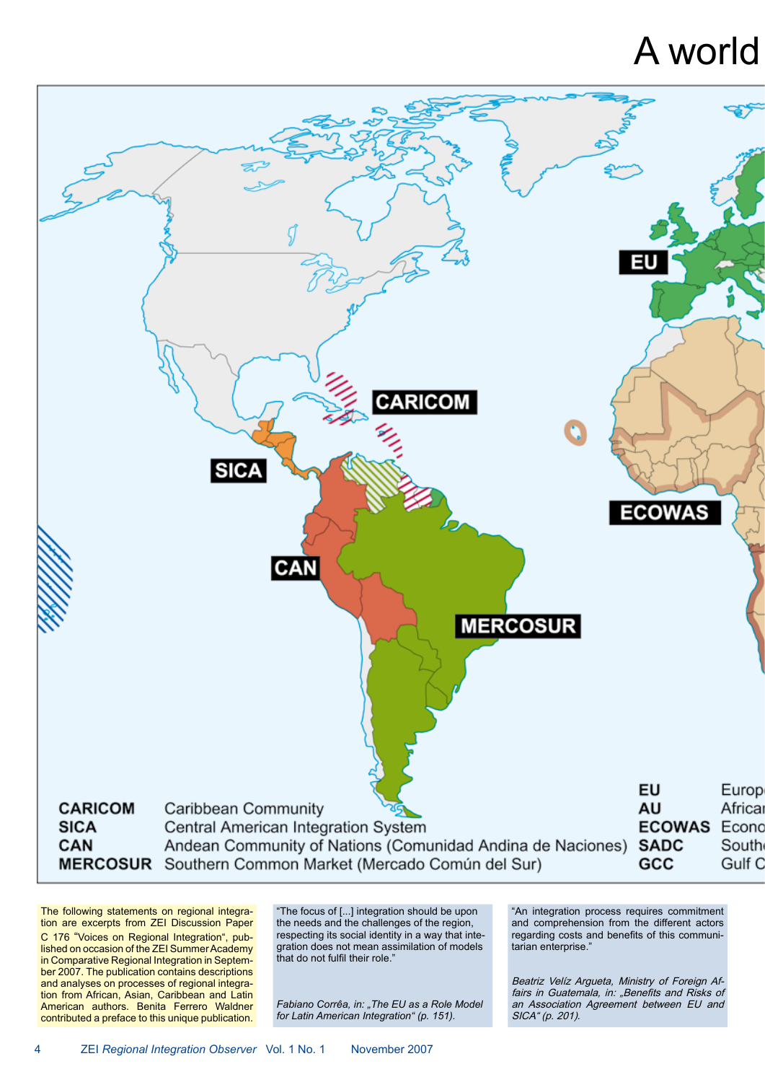# A world



The following statements on regional integration are excerpts from ZEI Discussion Paper C 176 "Voices on Regional Integration", published on occasion of the ZEI Summer Academy in Comparative Regional Integration in September 2007. The publication contains descriptions and analyses on processes of regional integration from African, Asian, Caribbean and Latin American authors. Benita Ferrero Waldner contributed a preface to this unique publication.

"The focus of [...] integration should be upon the needs and the challenges of the region, respecting its social identity in a way that integration does not mean assimilation of models that do not fulfil their role."

*Fabiano Corrêa, in: "The EU as a Role Model for Latin American Integration" (p. 151).*

"An integration process requires commitment and comprehension from the different actors regarding costs and benefits of this communitarian enterprise."

Beatriz Velíz Argueta, Ministry of Foreign Affairs in Guatemala, in: "Benefits and Risks of an Association Agreement between EU and SICA" (p. 201).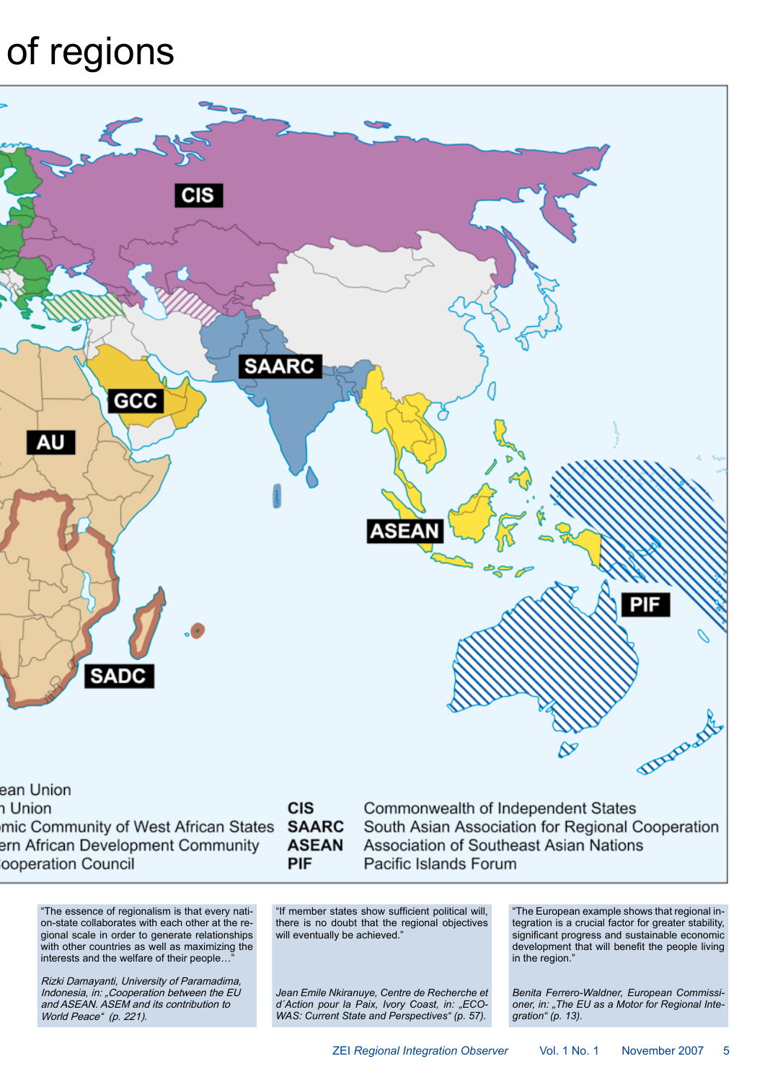# of regions



า Union

mic Community of West African States ern African Development Community ooperation Council

### **CIS SAARC ASEAN** PIF

Commonwealth of Independent States South Asian Association for Regional Cooperation Association of Southeast Asian Nations Pacific Islands Forum

"The essence of regionalism is that every nation-state collaborates with each other at the regional scale in order to generate relationships with other countries as well as maximizing the interests and the welfare of their people...

Rizki Damayanti, University of Paramadima, Indonesia, in: "Cooperation between the EU and ASEAN. ASEM and its contribution to World Peace" (p. 221).

"If member states show sufficient political will, there is no doubt that the regional objectives will eventually be achieved."

*Jean Emile Nkiranuye, Centre de Recherche et d´Action pour la Paix, Ivory Coast, in: "ECO-WAS: Current State and Perspectives" (p. 57).*

"The European example shows that regional integration is a crucial factor for greater stability, significant progress and sustainable economic development that will benefit the people living in the region.'

*Benita Ferrero-Waldner, European Commissioner, in: "The EU as a Motor for Regional Integration" (p. 13).*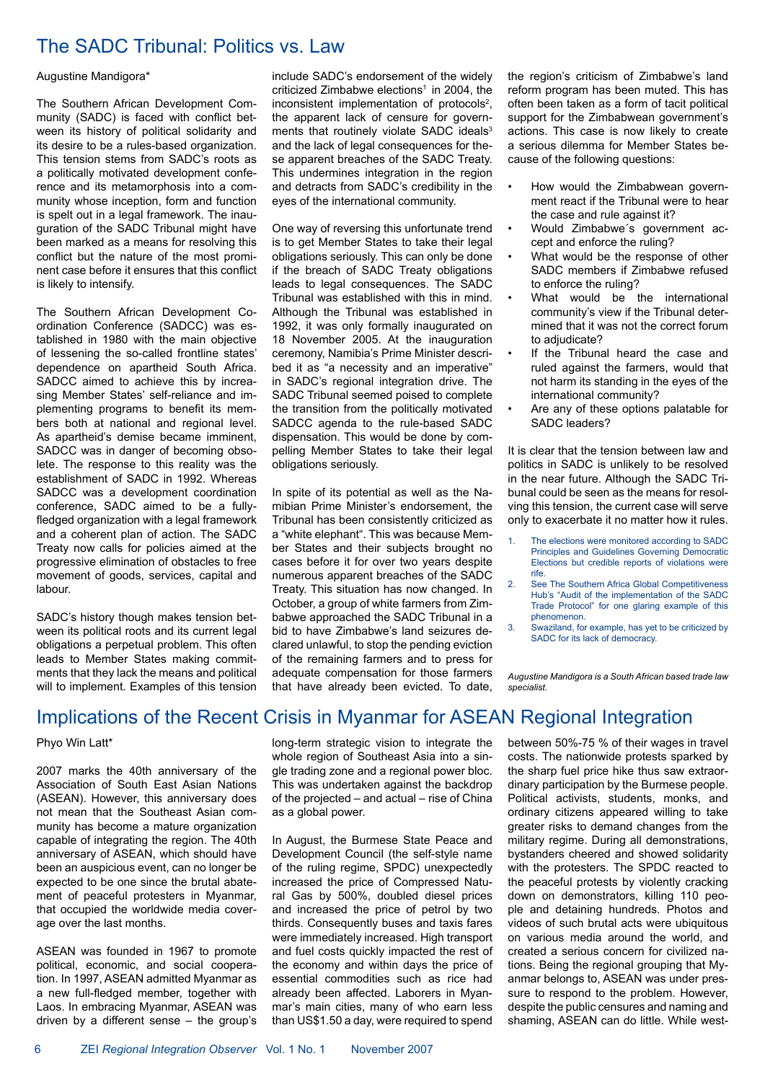### The SADC Tribunal: Politics vs. Law

#### Augustine Mandigora\*

The Southern African Development Community (SADC) is faced with conflict between its history of political solidarity and its desire to be a rules-based organization. This tension stems from SADC's roots as a politically motivated development conference and its metamorphosis into a community whose inception, form and function is spelt out in a legal framework. The inauguration of the SADC Tribunal might have been marked as a means for resolving this conflict but the nature of the most prominent case before it ensures that this conflict is likely to intensify.

The Southern African Development Coordination Conference (SADCC) was established in 1980 with the main objective of lessening the so-called frontline states' dependence on apartheid South Africa. SADCC aimed to achieve this by increasing Member States' self-reliance and implementing programs to benefit its members both at national and regional level. As apartheid's demise became imminent, SADCC was in danger of becoming obsolete. The response to this reality was the establishment of SADC in 1992. Whereas SADCC was a development coordination conference, SADC aimed to be a fullyfledged organization with a legal framework and a coherent plan of action. The SADC Treaty now calls for policies aimed at the progressive elimination of obstacles to free movement of goods, services, capital and labour.

SADC's history though makes tension between its political roots and its current legal obligations a perpetual problem. This often leads to Member States making commitments that they lack the means and political will to implement. Examples of this tension include SADC's endorsement of the widely criticized Zimbabwe elections<sup>1</sup> in 2004, the inconsistent implementation of protocols<sup>2</sup>, the apparent lack of censure for governments that routinely violate SADC ideals<sup>3</sup> and the lack of legal consequences for these apparent breaches of the SADC Treaty. This undermines integration in the region and detracts from SADC's credibility in the eyes of the international community.

One way of reversing this unfortunate trend is to get Member States to take their legal obligations seriously. This can only be done if the breach of SADC Treaty obligations leads to legal consequences. The SADC Tribunal was established with this in mind. Although the Tribunal was established in 1992, it was only formally inaugurated on 18 November 2005. At the inauguration ceremony, Namibia's Prime Minister described it as "a necessity and an imperative" in SADC's regional integration drive. The SADC Tribunal seemed poised to complete the transition from the politically motivated SADCC agenda to the rule-based SADC dispensation. This would be done by compelling Member States to take their legal obligations seriously.

In spite of its potential as well as the Namibian Prime Minister's endorsement, the Tribunal has been consistently criticized as a "white elephant". This was because Member States and their subjects brought no cases before it for over two years despite numerous apparent breaches of the SADC Treaty. This situation has now changed. In October, a group of white farmers from Zimbabwe approached the SADC Tribunal in a bid to have Zimbabwe's land seizures declared unlawful, to stop the pending eviction of the remaining farmers and to press for adequate compensation for those farmers that have already been evicted. To date, the region's criticism of Zimbabwe's land reform program has been muted. This has often been taken as a form of tacit political support for the Zimbabwean government's actions. This case is now likely to create a serious dilemma for Member States because of the following questions:

- How would the Zimbabwean government react if the Tribunal were to hear the case and rule against it?
- Would Zimbabwe´s government accept and enforce the ruling?
- What would be the response of other SADC members if Zimbabwe refused to enforce the ruling?
- What would be the international community's view if the Tribunal determined that it was not the correct forum to adjudicate?
- If the Tribunal heard the case and ruled against the farmers, would that not harm its standing in the eyes of the international community?
- Are any of these options palatable for SADC leaders?

It is clear that the tension between law and politics in SADC is unlikely to be resolved in the near future. Although the SADC Tribunal could be seen as the means for resolving this tension, the current case will serve only to exacerbate it no matter how it rules.

- The elections were monitored according to SADC Principles and Guidelines Governing Democratic Elections but credible reports of violations were rife.
- 2. See The Southern Africa Global Competitiveness Hub's "Audit of the implementation of the SADC Trade Protocol" for one glaring example of this phenomenon.
- 3. Swaziland, for example, has yet to be criticized by SADC for its lack of democracy.

*Augustine Mandigora is a South African based trade law specialist.*

### Implications of the Recent Crisis in Myanmar for ASEAN Regional Integration

#### Phyo Win Latt\*

2007 marks the 40th anniversary of the Association of South East Asian Nations (ASEAN). However, this anniversary does not mean that the Southeast Asian community has become a mature organization capable of integrating the region. The 40th anniversary of ASEAN, which should have been an auspicious event, can no longer be expected to be one since the brutal abatement of peaceful protesters in Myanmar, that occupied the worldwide media coverage over the last months.

ASEAN was founded in 1967 to promote political, economic, and social cooperation. In 1997, ASEAN admitted Myanmar as a new full-fledged member, together with Laos. In embracing Myanmar, ASEAN was driven by a different sense – the group's long-term strategic vision to integrate the whole region of Southeast Asia into a single trading zone and a regional power bloc. This was undertaken against the backdrop of the projected – and actual – rise of China as a global power.

In August, the Burmese State Peace and Development Council (the self-style name of the ruling regime, SPDC) unexpectedly increased the price of Compressed Natural Gas by 500%, doubled diesel prices and increased the price of petrol by two thirds. Consequently buses and taxis fares were immediately increased. High transport and fuel costs quickly impacted the rest of the economy and within days the price of essential commodities such as rice had already been affected. Laborers in Myanmar's main cities, many of who earn less than US\$1.50 a day, were required to spend between 50%-75 % of their wages in travel costs. The nationwide protests sparked by the sharp fuel price hike thus saw extraordinary participation by the Burmese people. Political activists, students, monks, and ordinary citizens appeared willing to take greater risks to demand changes from the military regime. During all demonstrations, bystanders cheered and showed solidarity with the protesters. The SPDC reacted to the peaceful protests by violently cracking down on demonstrators, killing 110 people and detaining hundreds. Photos and videos of such brutal acts were ubiquitous on various media around the world, and created a serious concern for civilized nations. Being the regional grouping that Myanmar belongs to, ASEAN was under pressure to respond to the problem. However, despite the public censures and naming and shaming, ASEAN can do little. While west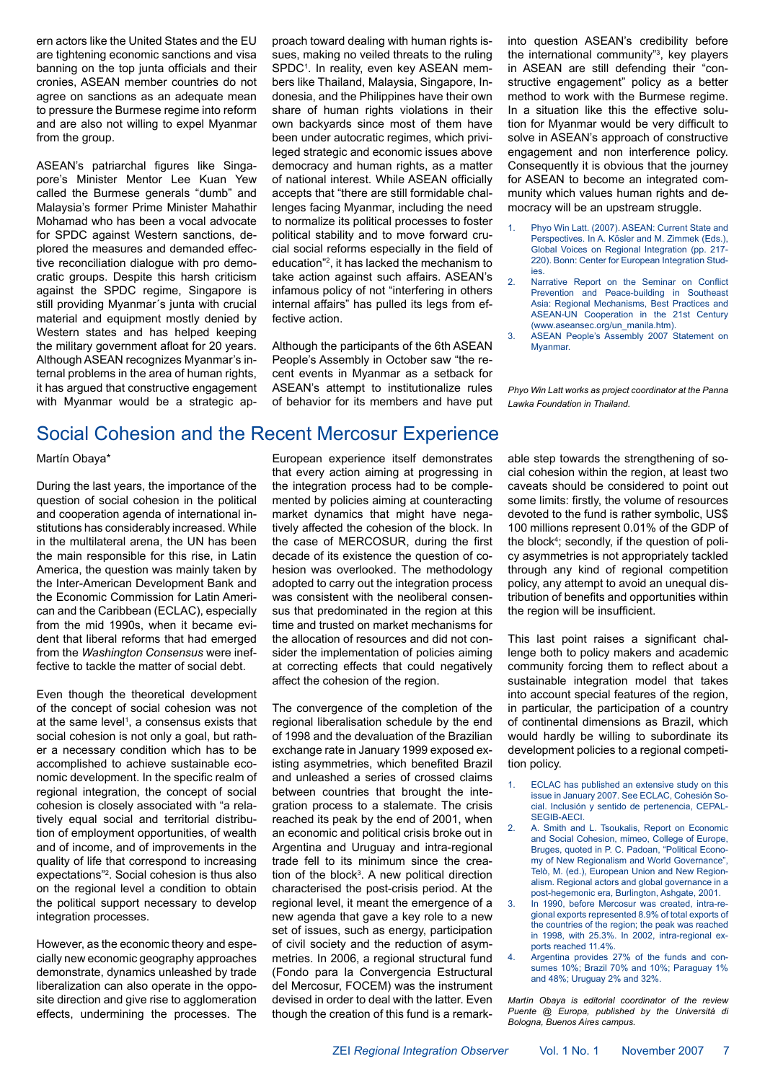ern actors like the United States and the EU are tightening economic sanctions and visa banning on the top junta officials and their cronies, ASEAN member countries do not agree on sanctions as an adequate mean to pressure the Burmese regime into reform and are also not willing to expel Myanmar from the group.

ASEAN's patriarchal figures like Singapore's Minister Mentor Lee Kuan Yew called the Burmese generals "dumb" and Malaysia's former Prime Minister Mahathir Mohamad who has been a vocal advocate for SPDC against Western sanctions, deplored the measures and demanded effective reconciliation dialogue with pro democratic groups. Despite this harsh criticism against the SPDC regime, Singapore is still providing Myanmar´s junta with crucial material and equipment mostly denied by Western states and has helped keeping the military government afloat for 20 years. Although ASEAN recognizes Myanmar's internal problems in the area of human rights, it has argued that constructive engagement with Myanmar would be a strategic approach toward dealing with human rights issues, making no veiled threats to the ruling SPDC<sup>1</sup>. In reality, even key ASEAN members like Thailand, Malaysia, Singapore, Indonesia, and the Philippines have their own share of human rights violations in their own backyards since most of them have been under autocratic regimes, which privileged strategic and economic issues above democracy and human rights, as a matter of national interest. While ASEAN officially accepts that "there are still formidable challenges facing Myanmar, including the need to normalize its political processes to foster political stability and to move forward crucial social reforms especially in the field of education"2 , it has lacked the mechanism to take action against such affairs. ASEAN's infamous policy of not "interfering in others internal affairs" has pulled its legs from effective action.

Although the participants of the 6th ASEAN People's Assembly in October saw "the recent events in Myanmar as a setback for ASEAN's attempt to institutionalize rules of behavior for its members and have put into question ASEAN's credibility before the international community"3 , key players in ASEAN are still defending their "constructive engagement" policy as a better method to work with the Burmese regime. In a situation like this the effective solution for Myanmar would be very difficult to solve in ASEAN's approach of constructive engagement and non interference policy. Consequently it is obvious that the journey for ASEAN to become an integrated community which values human rights and democracy will be an upstream struggle.

- 1. Phyo Win Latt. (2007). ASEAN: Current State and Perspectives. In A. Kösler and M. Zimmek (Eds.), Global Voices on Regional Integration (pp. 217- 220). Bonn: Center for European Integration Studies.
- 2. Narrative Report on the Seminar on Conflict Prevention and Peace-building in Southeast Asia: Regional Mechanisms, Best Practices and ASEAN-UN Cooperation in the 21st Century (www.aseansec.org/un\_manila.htm).
- ASEAN People's Assembly 2007 Statement on Myanmar.

*Phyo Win Latt works as project coordinator at the Panna Lawka Foundation in Thailand.*

## Social Cohesion and the Recent Mercosur Experience

Martín Obaya\*

During the last years, the importance of the question of social cohesion in the political and cooperation agenda of international institutions has considerably increased. While in the multilateral arena, the UN has been the main responsible for this rise, in Latin America, the question was mainly taken by the Inter-American Development Bank and the Economic Commission for Latin American and the Caribbean (ECLAC), especially from the mid 1990s, when it became evident that liberal reforms that had emerged from the *Washington Consensus* were ineffective to tackle the matter of social debt.

Even though the theoretical development of the concept of social cohesion was not at the same level<sup>1</sup>, a consensus exists that social cohesion is not only a goal, but rather a necessary condition which has to be accomplished to achieve sustainable economic development. In the specific realm of regional integration, the concept of social cohesion is closely associated with "a relatively equal social and territorial distribution of employment opportunities, of wealth and of income, and of improvements in the quality of life that correspond to increasing expectations"2 . Social cohesion is thus also on the regional level a condition to obtain the political support necessary to develop integration processes.

However, as the economic theory and especially new economic geography approaches demonstrate, dynamics unleashed by trade liberalization can also operate in the opposite direction and give rise to agglomeration effects, undermining the processes. The

European experience itself demonstrates that every action aiming at progressing in the integration process had to be complemented by policies aiming at counteracting market dynamics that might have negatively affected the cohesion of the block. In the case of MERCOSUR, during the first decade of its existence the question of cohesion was overlooked. The methodology adopted to carry out the integration process was consistent with the neoliberal consensus that predominated in the region at this time and trusted on market mechanisms for the allocation of resources and did not consider the implementation of policies aiming at correcting effects that could negatively affect the cohesion of the region.

The convergence of the completion of the regional liberalisation schedule by the end of 1998 and the devaluation of the Brazilian exchange rate in January 1999 exposed existing asymmetries, which benefited Brazil and unleashed a series of crossed claims between countries that brought the integration process to a stalemate. The crisis reached its peak by the end of 2001, when an economic and political crisis broke out in Argentina and Uruguay and intra-regional trade fell to its minimum since the creation of the block<sup>3</sup>. A new political direction characterised the post-crisis period. At the regional level, it meant the emergence of a new agenda that gave a key role to a new set of issues, such as energy, participation of civil society and the reduction of asymmetries. In 2006, a regional structural fund (Fondo para la Convergencia Estructural del Mercosur, FOCEM) was the instrument devised in order to deal with the latter. Even though the creation of this fund is a remarkable step towards the strengthening of social cohesion within the region, at least two caveats should be considered to point out some limits: firstly, the volume of resources devoted to the fund is rather symbolic, US\$ 100 millions represent 0.01% of the GDP of the block4 ; secondly, if the question of policy asymmetries is not appropriately tackled through any kind of regional competition policy, any attempt to avoid an unequal distribution of benefits and opportunities within the region will be insufficient.

This last point raises a significant challenge both to policy makers and academic community forcing them to reflect about a sustainable integration model that takes into account special features of the region, in particular, the participation of a country of continental dimensions as Brazil, which would hardly be willing to subordinate its development policies to a regional competition policy.

- 1. ECLAC has published an extensive study on this issue in January 2007. See ECLAC, Cohesión Social. Inclusión y sentido de pertenencia, CEPAL-SEGIB-AECI.
- 2. A. Smith and L. Tsoukalis, Report on Economic and Social Cohesion, mimeo, College of Europe, Bruges, quoted in P. C. Padoan, "Political Economy of New Regionalism and World Governance", Telò, M. (ed.), European Union and New Regionalism. Regional actors and global governance in a post-hegemonic era, Burlington, Ashgate, 2001.
- 3. In 1990, before Mercosur was created, intra-regional exports represented 8.9% of total exports of the countries of the region; the peak was reached in 1998, with 25.3%. In 2002, intra-regional exports reached 11.4%
- 4. Argentina provides 27% of the funds and consumes 10%; Brazil 70% and 10%; Paraguay 1% and 48%; Uruguay 2% and 32%.

*Martín Obaya is editorial coordinator of the review Puente @ Europa, published by the Università di Bologna, Buenos Aires campus.*